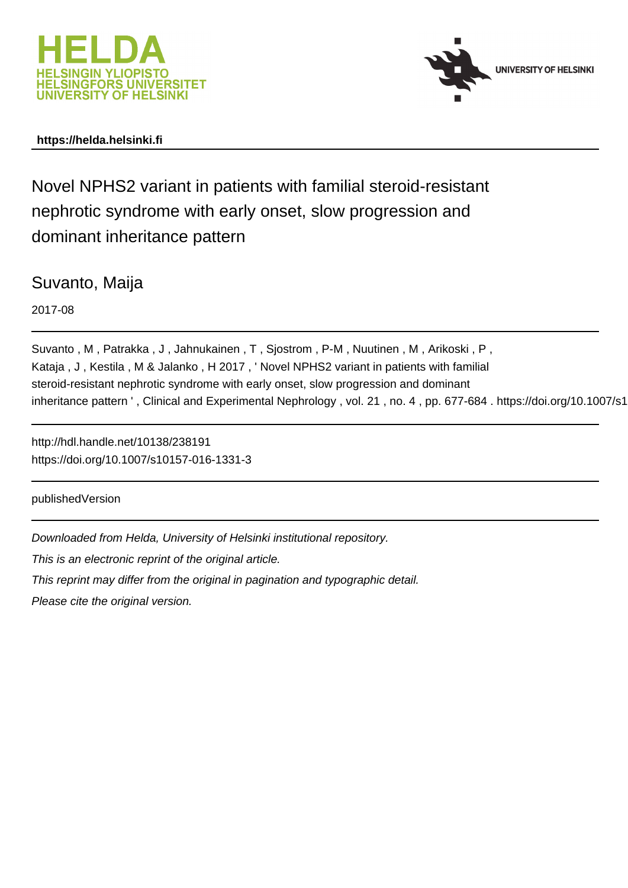



# **https://helda.helsinki.fi**

Novel NPHS2 variant in patients with familial steroid-resistant nephrotic syndrome with early onset, slow progression and dominant inheritance pattern

Suvanto, Maija

2017-08

Suvanto , M , Patrakka , J , Jahnukainen , T , Sjostrom , P-M , Nuutinen , M , Arikoski , P , Kataja , J , Kestila , M & Jalanko , H 2017 , ' Novel NPHS2 variant in patients with familial steroid-resistant nephrotic syndrome with early onset, slow progression and dominant inheritance pattern ', Clinical and Experimental Nephrology, vol. 21, no. 4, pp. 677-684. https://doi.org/10.1007/s1

http://hdl.handle.net/10138/238191 https://doi.org/10.1007/s10157-016-1331-3

publishedVersion

Downloaded from Helda, University of Helsinki institutional repository.

This is an electronic reprint of the original article.

This reprint may differ from the original in pagination and typographic detail.

Please cite the original version.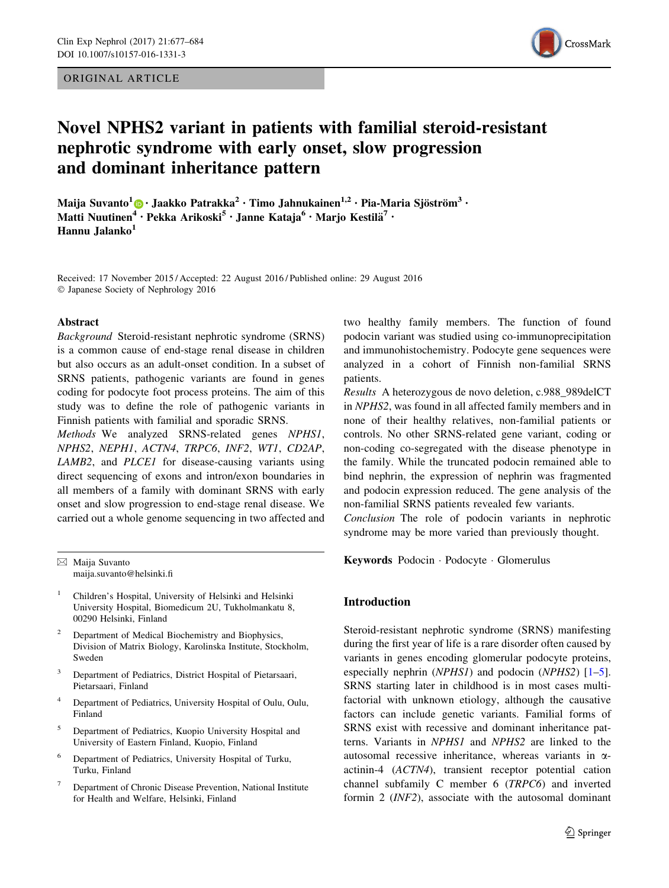ORIGINAL ARTICLE



# Novel NPHS2 variant in patients with familial steroid-resistant nephrotic syndrome with early onset, slow progression and dominant inheritance pattern

Maija Suvanto<sup>1</sup>  $\bullet$  · Jaakko Patrakka<sup>2</sup> · Timo Jahnukainen<sup>1,2</sup> · Pia-Maria Sjöström<sup>3</sup> · Matti Nuutinen<sup>4</sup> • Pekka Arikoski<sup>5</sup> • Janne Kataja<sup>6</sup> • Marjo Kestilä<sup>7</sup> • Hannu Jalanko<sup>1</sup>

Received: 17 November 2015 / Accepted: 22 August 2016 / Published online: 29 August 2016 - Japanese Society of Nephrology 2016

#### Abstract

Background Steroid-resistant nephrotic syndrome (SRNS) is a common cause of end-stage renal disease in children but also occurs as an adult-onset condition. In a subset of SRNS patients, pathogenic variants are found in genes coding for podocyte foot process proteins. The aim of this study was to define the role of pathogenic variants in Finnish patients with familial and sporadic SRNS.

Methods We analyzed SRNS-related genes NPHS1, NPHS2, NEPH1, ACTN4, TRPC6, INF2, WT1, CD2AP, LAMB2, and PLCE1 for disease-causing variants using direct sequencing of exons and intron/exon boundaries in all members of a family with dominant SRNS with early onset and slow progression to end-stage renal disease. We carried out a whole genome sequencing in two affected and

 $\boxtimes$  Maija Suvanto maija.suvanto@helsinki.fi

- <sup>1</sup> Children's Hospital, University of Helsinki and Helsinki University Hospital, Biomedicum 2U, Tukholmankatu 8, 00290 Helsinki, Finland
- Department of Medical Biochemistry and Biophysics, Division of Matrix Biology, Karolinska Institute, Stockholm, Sweden
- <sup>3</sup> Department of Pediatrics, District Hospital of Pietarsaari, Pietarsaari, Finland
- <sup>4</sup> Department of Pediatrics, University Hospital of Oulu, Oulu, Finland
- <sup>5</sup> Department of Pediatrics, Kuopio University Hospital and University of Eastern Finland, Kuopio, Finland
- <sup>6</sup> Department of Pediatrics, University Hospital of Turku, Turku, Finland
- <sup>7</sup> Department of Chronic Disease Prevention, National Institute for Health and Welfare, Helsinki, Finland

two healthy family members. The function of found podocin variant was studied using co-immunoprecipitation and immunohistochemistry. Podocyte gene sequences were analyzed in a cohort of Finnish non-familial SRNS patients.

Results A heterozygous de novo deletion, c.988\_989delCT in NPHS2, was found in all affected family members and in none of their healthy relatives, non-familial patients or controls. No other SRNS-related gene variant, coding or non-coding co-segregated with the disease phenotype in the family. While the truncated podocin remained able to bind nephrin, the expression of nephrin was fragmented and podocin expression reduced. The gene analysis of the non-familial SRNS patients revealed few variants.

Conclusion The role of podocin variants in nephrotic syndrome may be more varied than previously thought.

Keywords Podocin - Podocyte - Glomerulus

# Introduction

Steroid-resistant nephrotic syndrome (SRNS) manifesting during the first year of life is a rare disorder often caused by variants in genes encoding glomerular podocyte proteins, especially nephrin ( $NPHSI$ ) and podocin ( $NPHS2$ ) [1–5]. SRNS starting later in childhood is in most cases multifactorial with unknown etiology, although the causative factors can include genetic variants. Familial forms of SRNS exist with recessive and dominant inheritance patterns. Variants in NPHS1 and NPHS2 are linked to the autosomal recessive inheritance, whereas variants in  $\alpha$ actinin-4 (ACTN4), transient receptor potential cation channel subfamily C member 6 (TRPC6) and inverted formin 2 (INF2), associate with the autosomal dominant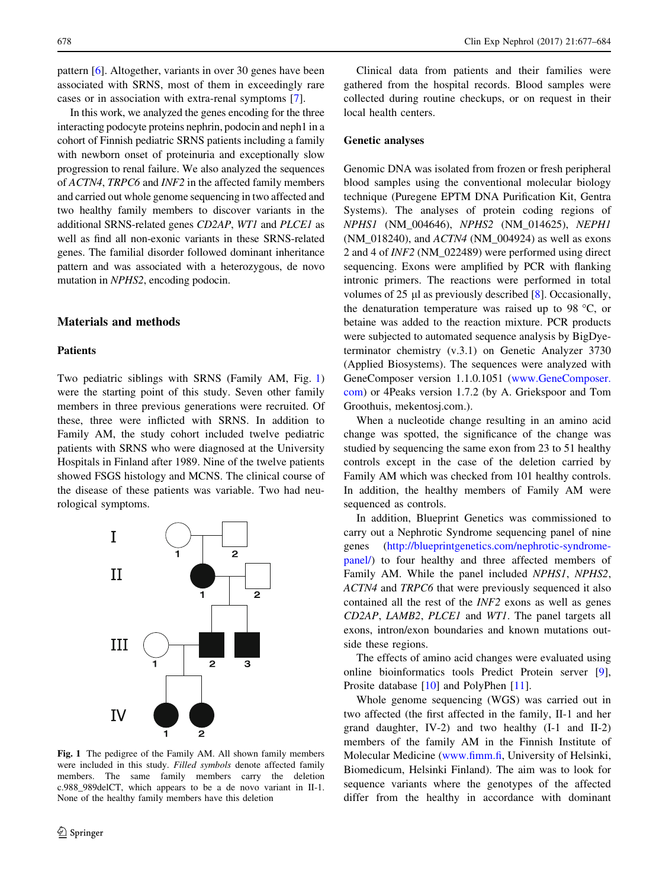pattern [6]. Altogether, variants in over 30 genes have been associated with SRNS, most of them in exceedingly rare cases or in association with extra-renal symptoms [7].

In this work, we analyzed the genes encoding for the three interacting podocyte proteins nephrin, podocin and neph1 in a cohort of Finnish pediatric SRNS patients including a family with newborn onset of proteinuria and exceptionally slow progression to renal failure. We also analyzed the sequences of ACTN4, TRPC6 and INF2 in the affected family members and carried out whole genome sequencing in two affected and two healthy family members to discover variants in the additional SRNS-related genes CD2AP, WT1 and PLCE1 as well as find all non-exonic variants in these SRNS-related genes. The familial disorder followed dominant inheritance pattern and was associated with a heterozygous, de novo mutation in NPHS2, encoding podocin.

#### Materials and methods

# Patients

Two pediatric siblings with SRNS (Family AM, Fig. 1) were the starting point of this study. Seven other family members in three previous generations were recruited. Of these, three were inflicted with SRNS. In addition to Family AM, the study cohort included twelve pediatric patients with SRNS who were diagnosed at the University Hospitals in Finland after 1989. Nine of the twelve patients showed FSGS histology and MCNS. The clinical course of the disease of these patients was variable. Two had neurological symptoms.



Fig. 1 The pedigree of the Family AM. All shown family members were included in this study. Filled symbols denote affected family members. The same family members carry the deletion c.988\_989delCT, which appears to be a de novo variant in II-1. None of the healthy family members have this deletion

Clinical data from patients and their families were gathered from the hospital records. Blood samples were collected during routine checkups, or on request in their local health centers.

### Genetic analyses

Genomic DNA was isolated from frozen or fresh peripheral blood samples using the conventional molecular biology technique (Puregene EPTM DNA Purification Kit, Gentra Systems). The analyses of protein coding regions of NPHS1 (NM\_004646), NPHS2 (NM\_014625), NEPH1 (NM\_018240), and ACTN4 (NM\_004924) as well as exons 2 and 4 of INF2 (NM\_022489) were performed using direct sequencing. Exons were amplified by PCR with flanking intronic primers. The reactions were performed in total volumes of 25  $\mu$ l as previously described [8]. Occasionally, the denaturation temperature was raised up to 98  $\degree$ C, or betaine was added to the reaction mixture. PCR products were subjected to automated sequence analysis by BigDyeterminator chemistry (v.3.1) on Genetic Analyzer 3730 (Applied Biosystems). The sequences were analyzed with GeneComposer version 1.1.0.1051 ([www.GeneComposer.](http://www.GeneComposer.com) [com](http://www.GeneComposer.com)) or 4Peaks version 1.7.2 (by A. Griekspoor and Tom Groothuis, mekentosj.com.).

When a nucleotide change resulting in an amino acid change was spotted, the significance of the change was studied by sequencing the same exon from 23 to 51 healthy controls except in the case of the deletion carried by Family AM which was checked from 101 healthy controls. In addition, the healthy members of Family AM were sequenced as controls.

In addition, Blueprint Genetics was commissioned to carry out a Nephrotic Syndrome sequencing panel of nine genes ([http://blueprintgenetics.com/nephrotic-syndrome](http://blueprintgenetics.com/nephrotic-syndrome-panel/)[panel/\)](http://blueprintgenetics.com/nephrotic-syndrome-panel/) to four healthy and three affected members of Family AM. While the panel included NPHS1, NPHS2, ACTN4 and TRPC6 that were previously sequenced it also contained all the rest of the INF2 exons as well as genes CD2AP, LAMB2, PLCE1 and WT1. The panel targets all exons, intron/exon boundaries and known mutations outside these regions.

The effects of amino acid changes were evaluated using online bioinformatics tools Predict Protein server [9], Prosite database [10] and PolyPhen [11].

Whole genome sequencing (WGS) was carried out in two affected (the first affected in the family, II-1 and her grand daughter, IV-2) and two healthy (I-1 and II-2) members of the family AM in the Finnish Institute of Molecular Medicine ([www.fimm.fi,](http://www.fimm.fi) University of Helsinki, Biomedicum, Helsinki Finland). The aim was to look for sequence variants where the genotypes of the affected differ from the healthy in accordance with dominant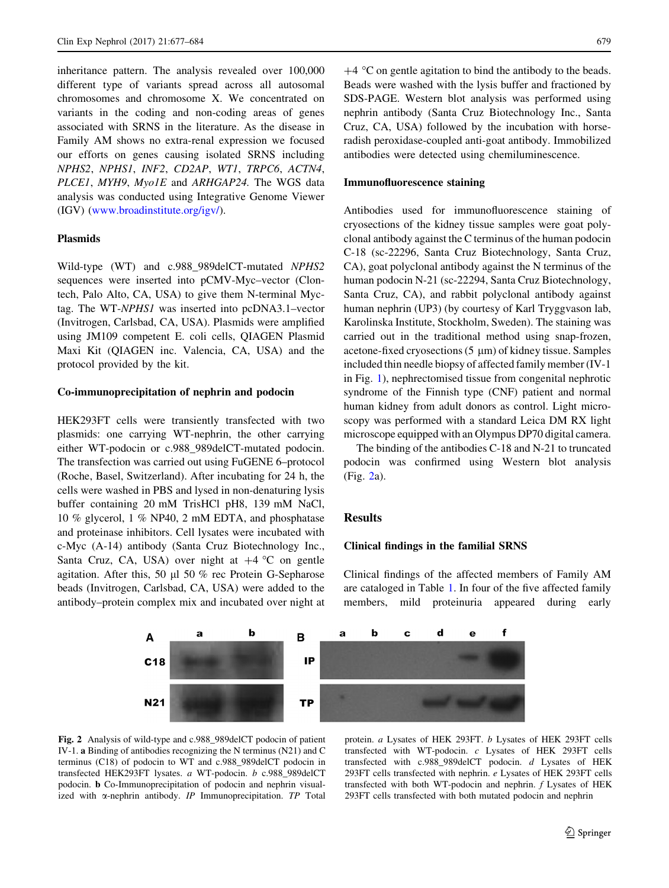inheritance pattern. The analysis revealed over 100,000 different type of variants spread across all autosomal chromosomes and chromosome X. We concentrated on variants in the coding and non-coding areas of genes associated with SRNS in the literature. As the disease in Family AM shows no extra-renal expression we focused our efforts on genes causing isolated SRNS including NPHS2, NPHS1, INF2, CD2AP, WT1, TRPC6, ACTN4, PLCE1, MYH9, Myo1E and ARHGAP24. The WGS data analysis was conducted using Integrative Genome Viewer (IGV) [\(www.broadinstitute.org/igv/](http://www.broadinstitute.org/igv/)).

# Plasmids

Wild-type (WT) and c.988\_989delCT-mutated NPHS2 sequences were inserted into pCMV-Myc–vector (Clontech, Palo Alto, CA, USA) to give them N-terminal Myctag. The WT-NPHS1 was inserted into pcDNA3.1–vector (Invitrogen, Carlsbad, CA, USA). Plasmids were amplified using JM109 competent E. coli cells, QIAGEN Plasmid Maxi Kit (QIAGEN inc. Valencia, CA, USA) and the protocol provided by the kit.

## Co-immunoprecipitation of nephrin and podocin

HEK293FT cells were transiently transfected with two plasmids: one carrying WT-nephrin, the other carrying either WT-podocin or c.988\_989delCT-mutated podocin. The transfection was carried out using FuGENE 6–protocol (Roche, Basel, Switzerland). After incubating for 24 h, the cells were washed in PBS and lysed in non-denaturing lysis buffer containing 20 mM TrisHCl pH8, 139 mM NaCl, 10 % glycerol, 1 % NP40, 2 mM EDTA, and phosphatase and proteinase inhibitors. Cell lysates were incubated with c-Myc (A-14) antibody (Santa Cruz Biotechnology Inc., Santa Cruz, CA, USA) over night at  $+4$  °C on gentle agitation. After this, 50 µl 50 % rec Protein G-Sepharose beads (Invitrogen, Carlsbad, CA, USA) were added to the antibody–protein complex mix and incubated over night at

 $+4$  °C on gentle agitation to bind the antibody to the beads. Beads were washed with the lysis buffer and fractioned by SDS-PAGE. Western blot analysis was performed using nephrin antibody (Santa Cruz Biotechnology Inc., Santa Cruz, CA, USA) followed by the incubation with horseradish peroxidase-coupled anti-goat antibody. Immobilized antibodies were detected using chemiluminescence.

### Immunofluorescence staining

Antibodies used for immunofluorescence staining of cryosections of the kidney tissue samples were goat polyclonal antibody against the C terminus of the human podocin C-18 (sc-22296, Santa Cruz Biotechnology, Santa Cruz, CA), goat polyclonal antibody against the N terminus of the human podocin N-21 (sc-22294, Santa Cruz Biotechnology, Santa Cruz, CA), and rabbit polyclonal antibody against human nephrin (UP3) (by courtesy of Karl Tryggvason lab, Karolinska Institute, Stockholm, Sweden). The staining was carried out in the traditional method using snap-frozen, acetone-fixed cryosections  $(5 \mu m)$  of kidney tissue. Samples included thin needle biopsy of affected family member (IV-1 in Fig. 1), nephrectomised tissue from congenital nephrotic syndrome of the Finnish type (CNF) patient and normal human kidney from adult donors as control. Light microscopy was performed with a standard Leica DM RX light microscope equipped with an Olympus DP70 digital camera.

The binding of the antibodies C-18 and N-21 to truncated podocin was confirmed using Western blot analysis (Fig. 2a).

#### Results

#### Clinical findings in the familial SRNS

Clinical findings of the affected members of Family AM are cataloged in Table 1. In four of the five affected family members, mild proteinuria appeared during early



Fig. 2 Analysis of wild-type and c.988\_989delCT podocin of patient IV-1. a Binding of antibodies recognizing the N terminus (N21) and C terminus (C18) of podocin to WT and c.988\_989delCT podocin in transfected HEK293FT lysates. a WT-podocin. b c.988\_989delCT podocin. b Co-Immunoprecipitation of podocin and nephrin visualized with  $\alpha$ -nephrin antibody. IP Immunoprecipitation. TP Total

protein. a Lysates of HEK 293FT. b Lysates of HEK 293FT cells transfected with WT-podocin. c Lysates of HEK 293FT cells transfected with c.988\_989delCT podocin. d Lysates of HEK 293FT cells transfected with nephrin. e Lysates of HEK 293FT cells transfected with both WT-podocin and nephrin.  $f$  Lysates of HEK 293FT cells transfected with both mutated podocin and nephrin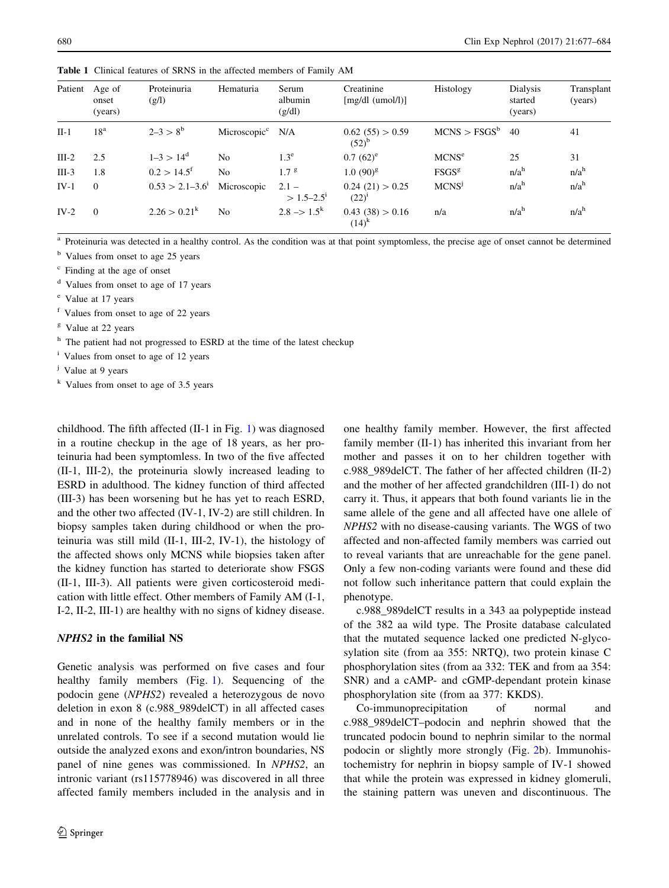| Patient | Age of<br>onset<br>(years) | Proteinuria<br>(g/l)      | Hematuria                      | Serum<br>albumin<br>(g/dl) | Creatinine<br>[mg/dl (umol/l)] | Histology                | Dialysis<br>started<br>(years) | Transplant<br>(years) |
|---------|----------------------------|---------------------------|--------------------------------|----------------------------|--------------------------------|--------------------------|--------------------------------|-----------------------|
| $II-1$  | 18 <sup>a</sup>            | $2-3 > 8^b$               | Microscopic <sup>c</sup> $N/A$ |                            | 0.62(55) > 0.59<br>$(52)^{b}$  | MCNS > FSGS <sup>b</sup> | 40                             | 41                    |
| $III-2$ | 2.5                        | $1-3 > 14^d$              | N <sub>0</sub>                 | $1.3^e$                    | $0.7(62)^e$                    | MCNS <sup>e</sup>        | 25                             | 31                    |
| $III-3$ | 1.8                        | $0.2 > 14.5$ <sup>f</sup> | N <sub>0</sub>                 | 1.7 <sup>g</sup>           | $1.0(90)^{g}$                  | FSGS <sup>g</sup>        | n/a <sup>h</sup>               | n/a <sup>h</sup>      |
| $IV-1$  | $\Omega$                   | $0.53 > 2.1 - 3.6^1$      | Microscopic                    | $2.1 -$<br>$> 1.5 - 2.5^1$ | 0.24(21) > 0.25<br>$(22)^{1}$  | MCNS <sup>j</sup>        | n/a <sup>h</sup>               | $n/a^h$               |
| $IV-2$  | $\Omega$                   | $2.26 > 0.21^k$           | N <sub>0</sub>                 | $2.8 \rightarrow 1.5^k$    | 0.43(38) > 0.16<br>$(14)^{k}$  | n/a                      | $n/a^h$                        | $n/a^h$               |

Table 1 Clinical features of SRNS in the affected members of Family AM

<sup>a</sup> Proteinuria was detected in a healthy control. As the condition was at that point symptomless, the precise age of onset cannot be determined

<sup>b</sup> Values from onset to age 25 years

<sup>c</sup> Finding at the age of onset

<sup>d</sup> Values from onset to age of 17 years

<sup>e</sup> Value at 17 years

<sup>f</sup> Values from onset to age of 22 years

<sup>g</sup> Value at 22 years

<sup>h</sup> The patient had not progressed to ESRD at the time of the latest checkup

<sup>i</sup> Values from onset to age of 12 years

<sup>j</sup> Value at 9 years

childhood. The fifth affected (II-1 in Fig. 1) was diagnosed in a routine checkup in the age of 18 years, as her proteinuria had been symptomless. In two of the five affected (II-1, III-2), the proteinuria slowly increased leading to ESRD in adulthood. The kidney function of third affected (III-3) has been worsening but he has yet to reach ESRD, and the other two affected (IV-1, IV-2) are still children. In biopsy samples taken during childhood or when the proteinuria was still mild (II-1, III-2, IV-1), the histology of the affected shows only MCNS while biopsies taken after the kidney function has started to deteriorate show FSGS (II-1, III-3). All patients were given corticosteroid medication with little effect. Other members of Family AM (I-1, I-2, II-2, III-1) are healthy with no signs of kidney disease.

#### NPHS2 in the familial NS

Genetic analysis was performed on five cases and four healthy family members (Fig. 1). Sequencing of the podocin gene (NPHS2) revealed a heterozygous de novo deletion in exon 8 (c.988\_989delCT) in all affected cases and in none of the healthy family members or in the unrelated controls. To see if a second mutation would lie outside the analyzed exons and exon/intron boundaries, NS panel of nine genes was commissioned. In NPHS2, an intronic variant (rs115778946) was discovered in all three affected family members included in the analysis and in one healthy family member. However, the first affected family member (II-1) has inherited this invariant from her mother and passes it on to her children together with c.988\_989delCT. The father of her affected children (II-2) and the mother of her affected grandchildren (III-1) do not carry it. Thus, it appears that both found variants lie in the same allele of the gene and all affected have one allele of NPHS2 with no disease-causing variants. The WGS of two affected and non-affected family members was carried out to reveal variants that are unreachable for the gene panel. Only a few non-coding variants were found and these did not follow such inheritance pattern that could explain the phenotype.

c.988\_989delCT results in a 343 aa polypeptide instead of the 382 aa wild type. The Prosite database calculated that the mutated sequence lacked one predicted N-glycosylation site (from aa 355: NRTQ), two protein kinase C phosphorylation sites (from aa 332: TEK and from aa 354: SNR) and a cAMP- and cGMP-dependant protein kinase phosphorylation site (from aa 377: KKDS).

Co-immunoprecipitation of normal and c.988\_989delCT–podocin and nephrin showed that the truncated podocin bound to nephrin similar to the normal podocin or slightly more strongly (Fig. 2b). Immunohistochemistry for nephrin in biopsy sample of IV-1 showed that while the protein was expressed in kidney glomeruli, the staining pattern was uneven and discontinuous. The

 $k$  Values from onset to age of 3.5 years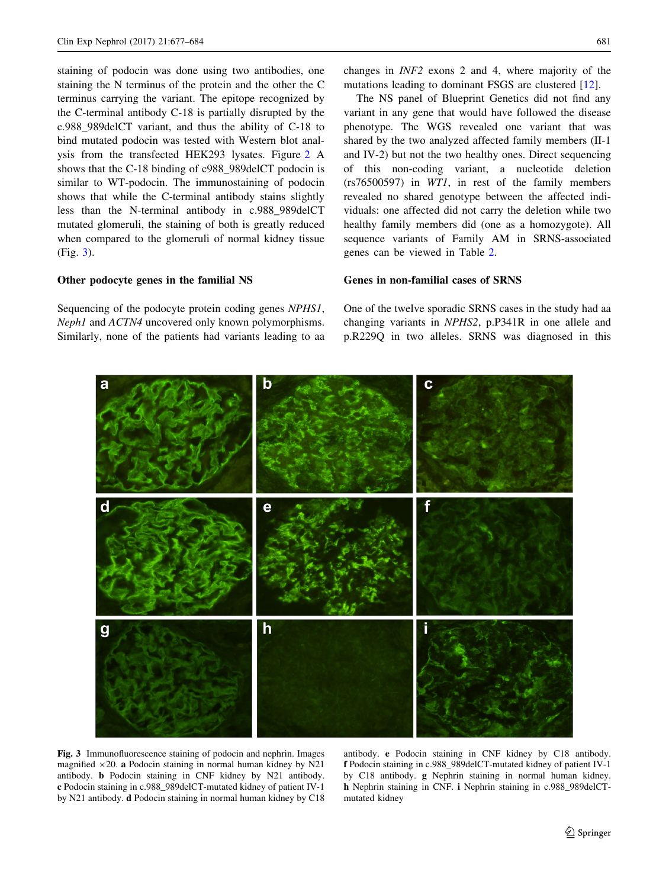staining of podocin was done using two antibodies, one staining the N terminus of the protein and the other the C terminus carrying the variant. The epitope recognized by the C-terminal antibody C-18 is partially disrupted by the c.988\_989delCT variant, and thus the ability of C-18 to bind mutated podocin was tested with Western blot analysis from the transfected HEK293 lysates. Figure 2 A shows that the C-18 binding of c988\_989delCT podocin is similar to WT-podocin. The immunostaining of podocin shows that while the C-terminal antibody stains slightly less than the N-terminal antibody in c.988\_989delCT mutated glomeruli, the staining of both is greatly reduced when compared to the glomeruli of normal kidney tissue (Fig. 3).

# Other podocyte genes in the familial NS

Sequencing of the podocyte protein coding genes NPHS1, Neph1 and ACTN4 uncovered only known polymorphisms. Similarly, none of the patients had variants leading to aa changes in INF2 exons 2 and 4, where majority of the mutations leading to dominant FSGS are clustered [12].

The NS panel of Blueprint Genetics did not find any variant in any gene that would have followed the disease phenotype. The WGS revealed one variant that was shared by the two analyzed affected family members (II-1 and IV-2) but not the two healthy ones. Direct sequencing of this non-coding variant, a nucleotide deletion (rs76500597) in WT1, in rest of the family members revealed no shared genotype between the affected individuals: one affected did not carry the deletion while two healthy family members did (one as a homozygote). All sequence variants of Family AM in SRNS-associated genes can be viewed in Table 2.

#### Genes in non-familial cases of SRNS

One of the twelve sporadic SRNS cases in the study had aa changing variants in NPHS2, p.P341R in one allele and p.R229Q in two alleles. SRNS was diagnosed in this



Fig. 3 Immunofluorescence staining of podocin and nephrin. Images magnified  $\times 20$ . a Podocin staining in normal human kidney by N21 antibody. b Podocin staining in CNF kidney by N21 antibody. c Podocin staining in c.988\_989delCT-mutated kidney of patient IV-1 by N21 antibody. d Podocin staining in normal human kidney by C18 antibody. e Podocin staining in CNF kidney by C18 antibody. f Podocin staining in c.988\_989delCT-mutated kidney of patient IV-1 by C18 antibody. g Nephrin staining in normal human kidney. h Nephrin staining in CNF. i Nephrin staining in c.988\_989delCTmutated kidney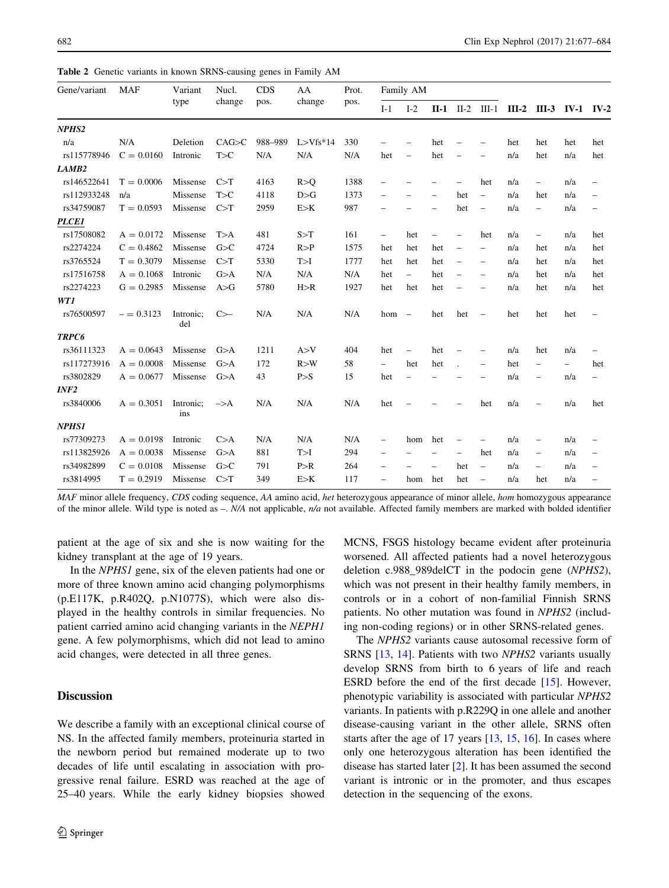Table 2 Genetic variants in known SRNS-causing genes in Family AM

| Gene/variant      | <b>MAF</b>   | Variant<br>type  | Nucl.<br>change | <b>CDS</b><br>pos. | AA<br>change | Prot.<br>pos. | Family AM                |                          |                          |                          |                          |         |                          |                          |                          |
|-------------------|--------------|------------------|-----------------|--------------------|--------------|---------------|--------------------------|--------------------------|--------------------------|--------------------------|--------------------------|---------|--------------------------|--------------------------|--------------------------|
|                   |              |                  |                 |                    |              |               | $I-1$                    | $I-2$                    |                          |                          | $II-1$ $II-2$ $III-1$    | $III-2$ | <b>III-3</b>             | <b>IV-1 IV-2</b>         |                          |
| NPHS <sub>2</sub> |              |                  |                 |                    |              |               |                          |                          |                          |                          |                          |         |                          |                          |                          |
| n/a               | N/A          | Deletion         | CAG > C         | 988-989            | $L > Vfs*14$ | 330           |                          |                          | het                      |                          |                          | het     | het                      | het                      | het                      |
| rs115778946       | $C = 0.0160$ | Intronic         | T>C             | N/A                | N/A          | N/A           | het                      | $\overline{\phantom{0}}$ | het                      | -                        |                          | n/a     | het                      | n/a                      | het                      |
| LAMB2             |              |                  |                 |                    |              |               |                          |                          |                          |                          |                          |         |                          |                          |                          |
| rs146522641       | $T = 0.0006$ | Missense         | C > T           | 4163               | R > 0        | 1388          | -                        |                          | -                        | $\qquad \qquad -$        | het                      | n/a     | $\qquad \qquad -$        | n/a                      | $\overline{\phantom{m}}$ |
| rs112933248       | n/a          | Missense         | T>C             | 4118               | D > G        | 1373          |                          |                          | $\overline{\phantom{0}}$ | het                      | $\overline{\phantom{0}}$ | n/a     | het                      | n/a                      |                          |
| rs34759087        | $T = 0.0593$ | Missense         | C>T             | 2959               | E > K        | 987           |                          |                          |                          | het                      | $\overline{\phantom{0}}$ | n/a     | $\overline{\phantom{0}}$ | n/a                      | $\overline{\phantom{0}}$ |
| <b>PLCE1</b>      |              |                  |                 |                    |              |               |                          |                          |                          |                          |                          |         |                          |                          |                          |
| rs17508082        | $A = 0.0172$ | Missense         | T>A             | 481                | S>T          | 161           | $\qquad \qquad -$        | het                      |                          | $\overline{\phantom{0}}$ | het                      | n/a     | $\overline{\phantom{0}}$ | n/a                      | het                      |
| rs2274224         | $C = 0.4862$ | Missense         | G>C             | 4724               | R > P        | 1575          | het                      | het                      | het                      | $\overline{\phantom{a}}$ | $\qquad \qquad -$        | n/a     | het                      | n/a                      | het                      |
| rs3765524         | $T = 0.3079$ | Missense         | C > T           | 5330               | T>1          | 1777          | het                      | het                      | het                      | $\overline{\phantom{m}}$ | $\overline{\phantom{m}}$ | n/a     | het                      | n/a                      | het                      |
| rs17516758        | $A = 0.1068$ | Intronic         | G>A             | N/A                | N/A          | N/A           | het                      | $\qquad \qquad -$        | het                      |                          | $\qquad \qquad -$        | n/a     | het                      | n/a                      | het                      |
| rs2274223         | $G = 0.2985$ | Missense         | A>G             | 5780               | H > R        | 1927          | het                      | het                      | het                      | $\qquad \qquad -$        | $\overline{\phantom{0}}$ | n/a     | het                      | n/a                      | het                      |
| WT1               |              |                  |                 |                    |              |               |                          |                          |                          |                          |                          |         |                          |                          |                          |
| rs76500597        | $= 0.3123$   | Intronic;<br>del | C               | N/A                | N/A          | N/A           | hom                      | $\overline{\phantom{a}}$ | het                      | het                      | $\qquad \qquad -$        | het     | het                      | het                      | $\qquad \qquad -$        |
| <b>TRPC6</b>      |              |                  |                 |                    |              |               |                          |                          |                          |                          |                          |         |                          |                          |                          |
| rs36111323        | $A = 0.0643$ | Missense         | G>A             | 1211               | A > V        | 404           | het                      | $\overline{\phantom{0}}$ | het                      |                          |                          | n/a     | het                      | n/a                      | $\overline{\phantom{m}}$ |
| rs117273916       | $A = 0.0008$ | Missense         | G>A             | 172                | R > W        | 58            | $\overline{\phantom{0}}$ | het                      | het                      |                          | $\qquad \qquad -$        | het     | $\overline{\phantom{0}}$ | $\overline{\phantom{0}}$ | het                      |
| rs3802829         | $A = 0.0677$ | Missense         | G>A             | 43                 | P > S        | 15            | het                      |                          |                          |                          |                          | n/a     | $\overline{\phantom{0}}$ | n/a                      | $\overline{\phantom{0}}$ |
| INF2              |              |                  |                 |                    |              |               |                          |                          |                          |                          |                          |         |                          |                          |                          |
| rs3840006         | $A = 0.3051$ | Intronic;<br>ins | $\Rightarrow$ A | N/A                | N/A          | N/A           | het                      |                          |                          |                          | het                      | n/a     |                          | n/a                      | het                      |
| <b>NPHS1</b>      |              |                  |                 |                    |              |               |                          |                          |                          |                          |                          |         |                          |                          |                          |
| rs77309273        | $A = 0.0198$ | Intronic         | C>A             | N/A                | N/A          | N/A           | $\qquad \qquad -$        | hom                      | het                      | $\qquad \qquad -$        | $\overline{\phantom{0}}$ | n/a     |                          | n/a                      |                          |
| rs113825926       | $A = 0.0038$ | Missense         | G>A             | 881                | T>1          | 294           | $\overline{\phantom{0}}$ |                          |                          | $\overline{\phantom{0}}$ | het                      | n/a     | $\overline{\phantom{0}}$ | n/a                      | $\overline{\phantom{0}}$ |
| rs34982899        | $C = 0.0108$ | Missense         | G>C             | 791                | P > R        | 264           | $\overline{\phantom{0}}$ |                          | $\overline{\phantom{0}}$ | het                      | $\qquad \qquad -$        | n/a     | $\overline{\phantom{0}}$ | n/a                      | $\overline{\phantom{m}}$ |
| rs3814995         | $T = 0.2919$ | Missense         | C>T             | 349                | E > K        | 117           | $\overline{\phantom{0}}$ | hom                      | het                      | het                      | $\overline{\phantom{m}}$ | n/a     | het                      | n/a                      |                          |

MAF minor allele frequency, CDS coding sequence, AA amino acid, het heterozygous appearance of minor allele, hom homozygous appearance of the minor allele. Wild type is noted as –.  $N/A$  not applicable,  $n/a$  not available. Affected family members are marked with bolded identifier

patient at the age of six and she is now waiting for the kidney transplant at the age of 19 years.

In the *NPHS1* gene, six of the eleven patients had one or more of three known amino acid changing polymorphisms (p.E117K, p.R402Q, p.N1077S), which were also displayed in the healthy controls in similar frequencies. No patient carried amino acid changing variants in the NEPH1 gene. A few polymorphisms, which did not lead to amino acid changes, were detected in all three genes.

# Discussion

We describe a family with an exceptional clinical course of NS. In the affected family members, proteinuria started in the newborn period but remained moderate up to two decades of life until escalating in association with progressive renal failure. ESRD was reached at the age of 25–40 years. While the early kidney biopsies showed MCNS, FSGS histology became evident after proteinuria worsened. All affected patients had a novel heterozygous deletion c.988\_989delCT in the podocin gene (NPHS2), which was not present in their healthy family members, in controls or in a cohort of non-familial Finnish SRNS patients. No other mutation was found in NPHS2 (including non-coding regions) or in other SRNS-related genes.

The NPHS2 variants cause autosomal recessive form of SRNS [13, 14]. Patients with two NPHS2 variants usually develop SRNS from birth to 6 years of life and reach ESRD before the end of the first decade [15]. However, phenotypic variability is associated with particular NPHS2 variants. In patients with p.R229Q in one allele and another disease-causing variant in the other allele, SRNS often starts after the age of 17 years [13, 15, 16]. In cases where only one heterozygous alteration has been identified the disease has started later [2]. It has been assumed the second variant is intronic or in the promoter, and thus escapes detection in the sequencing of the exons.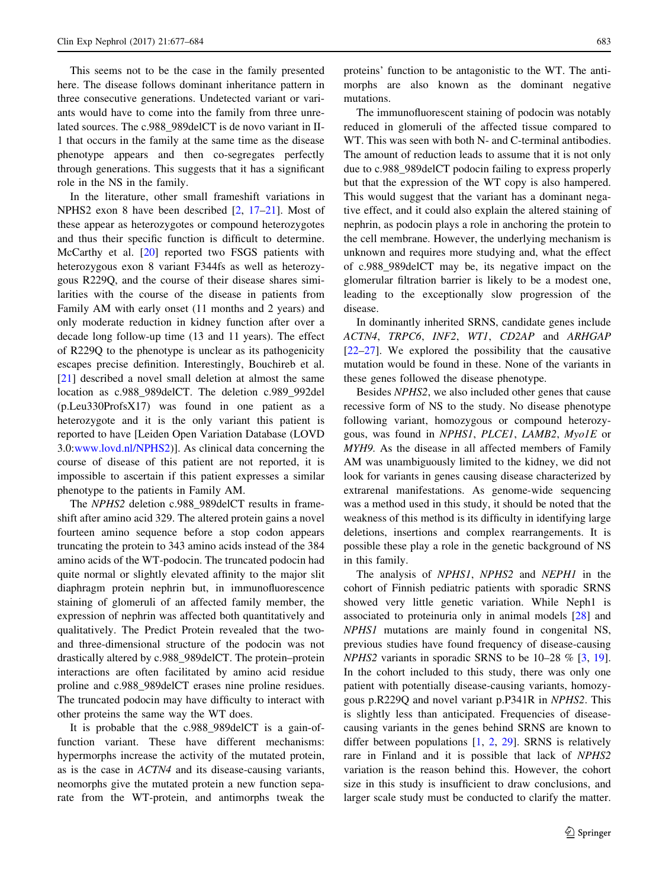This seems not to be the case in the family presented here. The disease follows dominant inheritance pattern in three consecutive generations. Undetected variant or variants would have to come into the family from three unrelated sources. The c.988\_989delCT is de novo variant in II-1 that occurs in the family at the same time as the disease phenotype appears and then co-segregates perfectly through generations. This suggests that it has a significant role in the NS in the family.

In the literature, other small frameshift variations in NPHS2 exon 8 have been described [2, 17–21]. Most of these appear as heterozygotes or compound heterozygotes and thus their specific function is difficult to determine. McCarthy et al. [20] reported two FSGS patients with heterozygous exon 8 variant F344fs as well as heterozygous R229Q, and the course of their disease shares similarities with the course of the disease in patients from Family AM with early onset (11 months and 2 years) and only moderate reduction in kidney function after over a decade long follow-up time (13 and 11 years). The effect of R229Q to the phenotype is unclear as its pathogenicity escapes precise definition. Interestingly, Bouchireb et al. [21] described a novel small deletion at almost the same location as c.988\_989delCT. The deletion c.989\_992del (p.Leu330ProfsX17) was found in one patient as a heterozygote and it is the only variant this patient is reported to have [Leiden Open Variation Database (LOVD 3.0[:www.lovd.nl/NPHS2\)](http://www.lovd.nl/NPHS2)]. As clinical data concerning the course of disease of this patient are not reported, it is impossible to ascertain if this patient expresses a similar phenotype to the patients in Family AM.

The NPHS2 deletion c.988\_989delCT results in frameshift after amino acid 329. The altered protein gains a novel fourteen amino sequence before a stop codon appears truncating the protein to 343 amino acids instead of the 384 amino acids of the WT-podocin. The truncated podocin had quite normal or slightly elevated affinity to the major slit diaphragm protein nephrin but, in immunofluorescence staining of glomeruli of an affected family member, the expression of nephrin was affected both quantitatively and qualitatively. The Predict Protein revealed that the twoand three-dimensional structure of the podocin was not drastically altered by c.988\_989delCT. The protein–protein interactions are often facilitated by amino acid residue proline and c.988\_989delCT erases nine proline residues. The truncated podocin may have difficulty to interact with other proteins the same way the WT does.

It is probable that the c.988\_989delCT is a gain-offunction variant. These have different mechanisms: hypermorphs increase the activity of the mutated protein, as is the case in ACTN4 and its disease-causing variants, neomorphs give the mutated protein a new function separate from the WT-protein, and antimorphs tweak the proteins' function to be antagonistic to the WT. The antimorphs are also known as the dominant negative mutations.

The immunofluorescent staining of podocin was notably reduced in glomeruli of the affected tissue compared to WT. This was seen with both N- and C-terminal antibodies. The amount of reduction leads to assume that it is not only due to c.988\_989delCT podocin failing to express properly but that the expression of the WT copy is also hampered. This would suggest that the variant has a dominant negative effect, and it could also explain the altered staining of nephrin, as podocin plays a role in anchoring the protein to the cell membrane. However, the underlying mechanism is unknown and requires more studying and, what the effect of c.988\_989delCT may be, its negative impact on the glomerular filtration barrier is likely to be a modest one, leading to the exceptionally slow progression of the disease.

In dominantly inherited SRNS, candidate genes include ACTN4, TRPC6, INF2, WT1, CD2AP and ARHGAP [22–27]. We explored the possibility that the causative mutation would be found in these. None of the variants in these genes followed the disease phenotype.

Besides NPHS2, we also included other genes that cause recessive form of NS to the study. No disease phenotype following variant, homozygous or compound heterozygous, was found in NPHS1, PLCE1, LAMB2, Myo1E or MYH9. As the disease in all affected members of Family AM was unambiguously limited to the kidney, we did not look for variants in genes causing disease characterized by extrarenal manifestations. As genome-wide sequencing was a method used in this study, it should be noted that the weakness of this method is its difficulty in identifying large deletions, insertions and complex rearrangements. It is possible these play a role in the genetic background of NS in this family.

The analysis of NPHS1, NPHS2 and NEPH1 in the cohort of Finnish pediatric patients with sporadic SRNS showed very little genetic variation. While Neph1 is associated to proteinuria only in animal models [28] and NPHS1 mutations are mainly found in congenital NS, previous studies have found frequency of disease-causing  $NPHS2$  variants in sporadic SRNS to be 10–28 % [3, 19]. In the cohort included to this study, there was only one patient with potentially disease-causing variants, homozygous p.R229Q and novel variant p.P341R in NPHS2. This is slightly less than anticipated. Frequencies of diseasecausing variants in the genes behind SRNS are known to differ between populations [1, 2, 29]. SRNS is relatively rare in Finland and it is possible that lack of NPHS2 variation is the reason behind this. However, the cohort size in this study is insufficient to draw conclusions, and larger scale study must be conducted to clarify the matter.